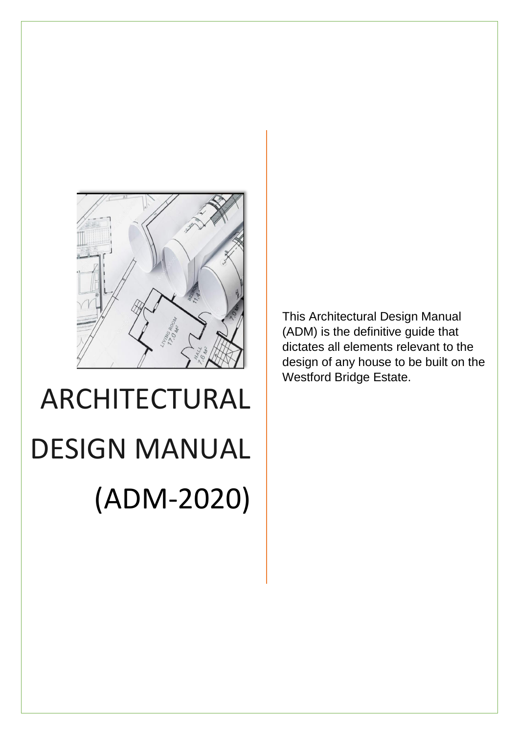

# ARCHITECTURAL DESIGN MANUAL (ADM-2020)

This Architectural Design Manual (ADM) is the definitive guide that dictates all elements relevant to the design of any house to be built on the Westford Bridge Estate.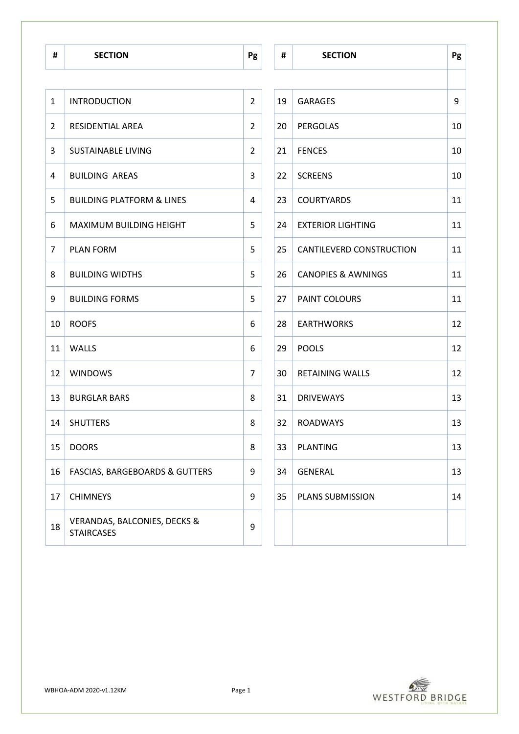| $\mathbf{1}$   | <b>INTRODUCTION</b>                                          | $\overline{2}$ | 19 | <b>GARAGES</b>                | 9  |
|----------------|--------------------------------------------------------------|----------------|----|-------------------------------|----|
| $\overline{2}$ | RESIDENTIAL AREA                                             | $\overline{2}$ | 20 | <b>PERGOLAS</b>               | 10 |
| 3              | <b>SUSTAINABLE LIVING</b>                                    | $\overline{2}$ | 21 | <b>FENCES</b>                 | 10 |
| 4              | <b>BUILDING AREAS</b>                                        | 3              | 22 | <b>SCREENS</b>                | 10 |
| 5              | <b>BUILDING PLATFORM &amp; LINES</b>                         | 4              | 23 | <b>COURTYARDS</b>             | 11 |
| 6              | MAXIMUM BUILDING HEIGHT                                      | 5              | 24 | <b>EXTERIOR LIGHTING</b>      | 11 |
| $\overline{7}$ | <b>PLAN FORM</b>                                             | 5              | 25 | CANTILEVERD CONSTRUCTION      | 11 |
| 8              | <b>BUILDING WIDTHS</b>                                       | 5              | 26 | <b>CANOPIES &amp; AWNINGS</b> | 11 |
| 9              | <b>BUILDING FORMS</b>                                        | 5              | 27 | PAINT COLOURS                 | 11 |
| 10             | <b>ROOFS</b>                                                 | 6              | 28 | <b>EARTHWORKS</b>             | 12 |
| 11             | WALLS                                                        | 6              | 29 | <b>POOLS</b>                  | 12 |
| 12             | <b>WINDOWS</b>                                               | $\overline{7}$ | 30 | <b>RETAINING WALLS</b>        | 12 |
| 13             | <b>BURGLAR BARS</b>                                          | 8              | 31 | <b>DRIVEWAYS</b>              | 13 |
| 14             | <b>SHUTTERS</b>                                              | 8              | 32 | <b>ROADWAYS</b>               | 13 |
| 15             | <b>DOORS</b>                                                 | 8              | 33 | <b>PLANTING</b>               | 13 |
| 16             | <b>FASCIAS, BARGEBOARDS &amp; GUTTERS</b>                    | 9              | 34 | <b>GENERAL</b>                | 13 |
| 17             | <b>CHIMNEYS</b>                                              | 9              | 35 | PLANS SUBMISSION              | 14 |
| 18             | <b>VERANDAS, BALCONIES, DECKS &amp;</b><br><b>STAIRCASES</b> | 9              |    |                               |    |

| #              | <b>SECTION</b>                                               | Pg             | #  | <b>SECTION</b>                | Pg |
|----------------|--------------------------------------------------------------|----------------|----|-------------------------------|----|
|                |                                                              |                |    |                               |    |
|                | <b>INTRODUCTION</b>                                          | $\overline{2}$ | 19 | <b>GARAGES</b>                | 9  |
|                | RESIDENTIAL AREA                                             | $\overline{2}$ | 20 | PERGOLAS                      | 10 |
|                | <b>SUSTAINABLE LIVING</b>                                    | $\overline{2}$ | 21 | <b>FENCES</b>                 | 10 |
| ŀ              | <b>BUILDING AREAS</b>                                        | 3              | 22 | <b>SCREENS</b>                | 10 |
|                | <b>BUILDING PLATFORM &amp; LINES</b>                         | 4              | 23 | <b>COURTYARDS</b>             | 11 |
|                | <b>MAXIMUM BUILDING HEIGHT</b>                               | 5              | 24 | <b>EXTERIOR LIGHTING</b>      | 11 |
| 7              | <b>PLAN FORM</b>                                             | 5              | 25 | CANTILEVERD CONSTRUCTION      | 11 |
| ζ              | <b>BUILDING WIDTHS</b>                                       | 5              | 26 | <b>CANOPIES &amp; AWNINGS</b> | 11 |
|                | <b>BUILDING FORMS</b>                                        | 5              | 27 | PAINT COLOURS                 | 11 |
| LO.            | <b>ROOFS</b>                                                 | 6              | 28 | <b>EARTHWORKS</b>             | 12 |
| $\overline{1}$ | <b>WALLS</b>                                                 | 6              | 29 | <b>POOLS</b>                  | 12 |
| $\overline{2}$ | <b>WINDOWS</b>                                               | 7              | 30 | <b>RETAINING WALLS</b>        | 12 |
| L3             | <b>BURGLAR BARS</b>                                          | 8              | 31 | <b>DRIVEWAYS</b>              | 13 |
| L4             | <b>SHUTTERS</b>                                              | 8              | 32 | <b>ROADWAYS</b>               | 13 |
| L5.            | <b>DOORS</b>                                                 | 8              | 33 | <b>PLANTING</b>               | 13 |
| L6             | <b>FASCIAS, BARGEBOARDS &amp; GUTTERS</b>                    | 9              | 34 | <b>GENERAL</b>                | 13 |
| L7             | <b>CHIMNEYS</b>                                              | 9              | 35 | PLANS SUBMISSION              | 14 |
| L8             | <b>VERANDAS, BALCONIES, DECKS &amp;</b><br><b>STAIRCASES</b> | 9              |    |                               |    |
|                |                                                              |                |    |                               |    |

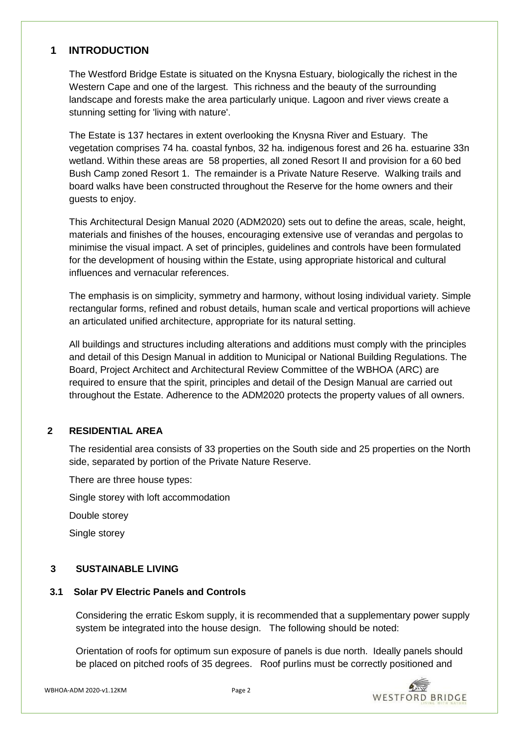# **1 INTRODUCTION**

The Westford Bridge Estate is situated on the Knysna Estuary, biologically the richest in the Western Cape and one of the largest. This richness and the beauty of the surrounding landscape and forests make the area particularly unique. Lagoon and river views create a stunning setting for 'living with nature'.

The Estate is 137 hectares in extent overlooking the Knysna River and Estuary. The vegetation comprises 74 ha. coastal fynbos, 32 ha. indigenous forest and 26 ha. estuarine 33n wetland. Within these areas are 58 properties, all zoned Resort II and provision for a 60 bed Bush Camp zoned Resort 1. The remainder is a Private Nature Reserve. Walking trails and board walks have been constructed throughout the Reserve for the home owners and their guests to enjoy.

This Architectural Design Manual 2020 (ADM2020) sets out to define the areas, scale, height, materials and finishes of the houses, encouraging extensive use of verandas and pergolas to minimise the visual impact. A set of principles, guidelines and controls have been formulated for the development of housing within the Estate, using appropriate historical and cultural influences and vernacular references.

The emphasis is on simplicity, symmetry and harmony, without losing individual variety. Simple rectangular forms, refined and robust details, human scale and vertical proportions will achieve an articulated unified architecture, appropriate for its natural setting.

All buildings and structures including alterations and additions must comply with the principles and detail of this Design Manual in addition to Municipal or National Building Regulations. The Board, Project Architect and Architectural Review Committee of the WBHOA (ARC) are required to ensure that the spirit, principles and detail of the Design Manual are carried out throughout the Estate. Adherence to the ADM2020 protects the property values of all owners.

# **2 RESIDENTIAL AREA**

The residential area consists of 33 properties on the South side and 25 properties on the North side, separated by portion of the Private Nature Reserve.

There are three house types:

Single storey with loft accommodation

Double storey

Single storey

# **3 SUSTAINABLE LIVING**

# **3.1 Solar PV Electric Panels and Controls**

Considering the erratic Eskom supply, it is recommended that a supplementary power supply system be integrated into the house design. The following should be noted:

Orientation of roofs for optimum sun exposure of panels is due north. Ideally panels should be placed on pitched roofs of 35 degrees. Roof purlins must be correctly positioned and

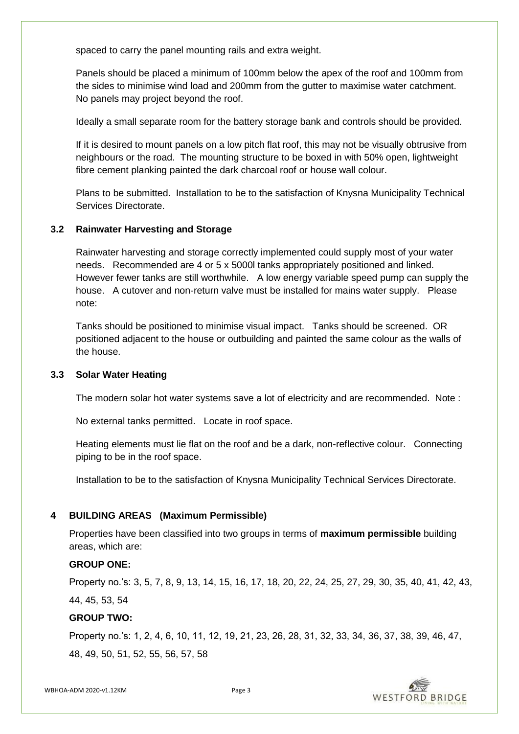spaced to carry the panel mounting rails and extra weight.

Panels should be placed a minimum of 100mm below the apex of the roof and 100mm from the sides to minimise wind load and 200mm from the gutter to maximise water catchment. No panels may project beyond the roof.

Ideally a small separate room for the battery storage bank and controls should be provided.

If it is desired to mount panels on a low pitch flat roof, this may not be visually obtrusive from neighbours or the road. The mounting structure to be boxed in with 50% open, lightweight fibre cement planking painted the dark charcoal roof or house wall colour.

Plans to be submitted. Installation to be to the satisfaction of Knysna Municipality Technical Services Directorate.

#### **3.2 Rainwater Harvesting and Storage**

Rainwater harvesting and storage correctly implemented could supply most of your water needs. Recommended are 4 or 5 x 5000l tanks appropriately positioned and linked. However fewer tanks are still worthwhile. A low energy variable speed pump can supply the house. A cutover and non-return valve must be installed for mains water supply. Please note:

Tanks should be positioned to minimise visual impact. Tanks should be screened. OR positioned adjacent to the house or outbuilding and painted the same colour as the walls of the house.

#### **3.3 Solar Water Heating**

The modern solar hot water systems save a lot of electricity and are recommended. Note :

No external tanks permitted. Locate in roof space.

Heating elements must lie flat on the roof and be a dark, non-reflective colour. Connecting piping to be in the roof space.

Installation to be to the satisfaction of Knysna Municipality Technical Services Directorate.

#### **4 BUILDING AREAS (Maximum Permissible)**

Properties have been classified into two groups in terms of **maximum permissible** building areas, which are:

#### **GROUP ONE:**

Property no.'s: 3, 5, 7, 8, 9, 13, 14, 15, 16, 17, 18, 20, 22, 24, 25, 27, 29, 30, 35, 40, 41, 42, 43, 44, 45, 53, 54

#### **GROUP TWO:**

Property no.'s: 1, 2, 4, 6, 10, 11, 12, 19, 21, 23, 26, 28, 31, 32, 33, 34, 36, 37, 38, 39, 46, 47, 48, 49, 50, 51, 52, 55, 56, 57, 58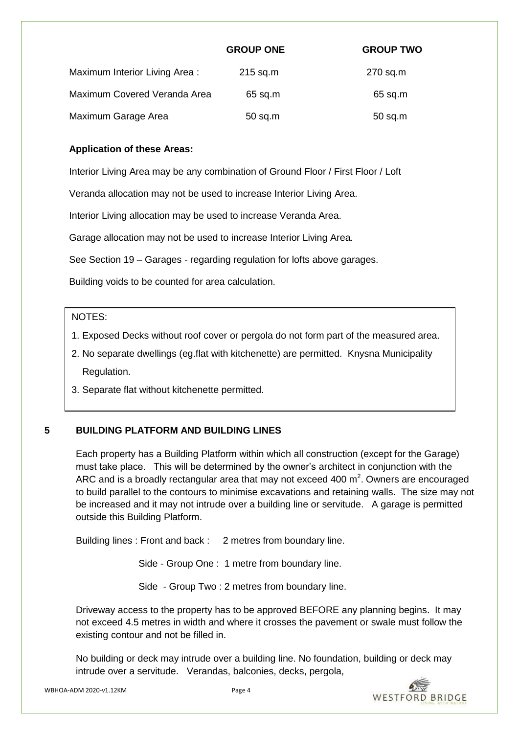|                               | <b>GROUP ONE</b> | <b>GROUP TWO</b> |
|-------------------------------|------------------|------------------|
| Maximum Interior Living Area: | $215$ sq.m       | 270 sq.m         |
| Maximum Covered Veranda Area  | $65$ sq.m        | $65$ sq.m        |
| Maximum Garage Area           | $50$ sq.m        | $50$ sq.m        |

# **Application of these Areas:**

Interior Living Area may be any combination of Ground Floor / First Floor / Loft

Veranda allocation may not be used to increase Interior Living Area.

Interior Living allocation may be used to increase Veranda Area.

Garage allocation may not be used to increase Interior Living Area.

See Section 19 – Garages - regarding regulation for lofts above garages.

Building voids to be counted for area calculation.

## NOTES:

- 1. Exposed Decks without roof cover or pergola do not form part of the measured area.
- 2. No separate dwellings (eg.flat with kitchenette) are permitted. Knysna Municipality Regulation.
- 3. Separate flat without kitchenette permitted.

# **5 BUILDING PLATFORM AND BUILDING LINES**

Each property has a Building Platform within which all construction (except for the Garage) must take place. This will be determined by the owner's architect in conjunction with the ARC and is a broadly rectangular area that may not exceed 400  $m^2$ . Owners are encouraged to build parallel to the contours to minimise excavations and retaining walls. The size may not be increased and it may not intrude over a building line or servitude. A garage is permitted outside this Building Platform.

Building lines : Front and back : 2 metres from boundary line.

Side - Group One : 1 metre from boundary line.

Side - Group Two : 2 metres from boundary line.

Driveway access to the property has to be approved BEFORE any planning begins. It may not exceed 4.5 metres in width and where it crosses the pavement or swale must follow the existing contour and not be filled in.

No building or deck may intrude over a building line. No foundation, building or deck may intrude over a servitude. Verandas, balconies, decks, pergola,

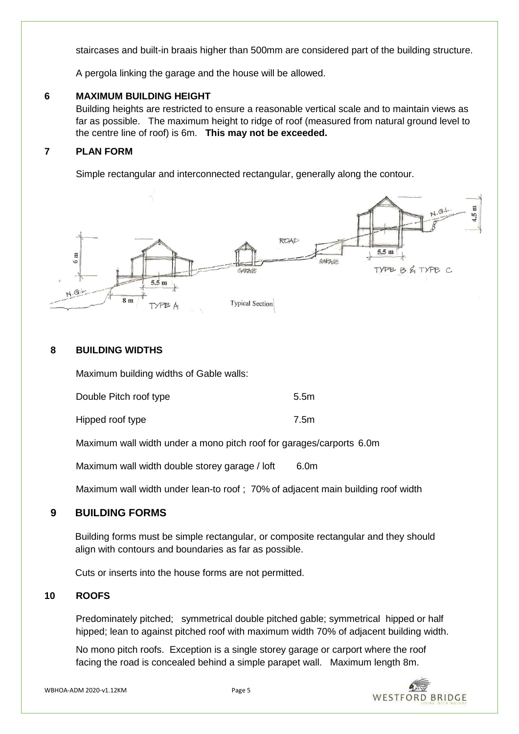staircases and built-in braais higher than 500mm are considered part of the building structure.

A pergola linking the garage and the house will be allowed.

# **6 MAXIMUM BUILDING HEIGHT**

Building heights are restricted to ensure a reasonable vertical scale and to maintain views as far as possible. The maximum height to ridge of roof (measured from natural ground level to the centre line of roof) is 6m. **This may not be exceeded.**

## **7 PLAN FORM**

Simple rectangular and interconnected rectangular, generally along the contour.



## **8 BUILDING WIDTHS**

Maximum building widths of Gable walls:

| Double Pitch roof type | 5.5m |
|------------------------|------|
|                        |      |

Hipped roof type 7.5m

Maximum wall width under a mono pitch roof for garages/carports 6.0m

Maximum wall width double storey garage / loft 6.0m

Maximum wall width under lean-to roof ; 70% of adjacent main building roof width

# **9 BUILDING FORMS**

Building forms must be simple rectangular, or composite rectangular and they should align with contours and boundaries as far as possible.

Cuts or inserts into the house forms are not permitted.

#### **10 ROOFS**

Predominately pitched; symmetrical double pitched gable; symmetrical hipped or half hipped; lean to against pitched roof with maximum width 70% of adjacent building width.

No mono pitch roofs. Exception is a single storey garage or carport where the roof facing the road is concealed behind a simple parapet wall. Maximum length 8m.

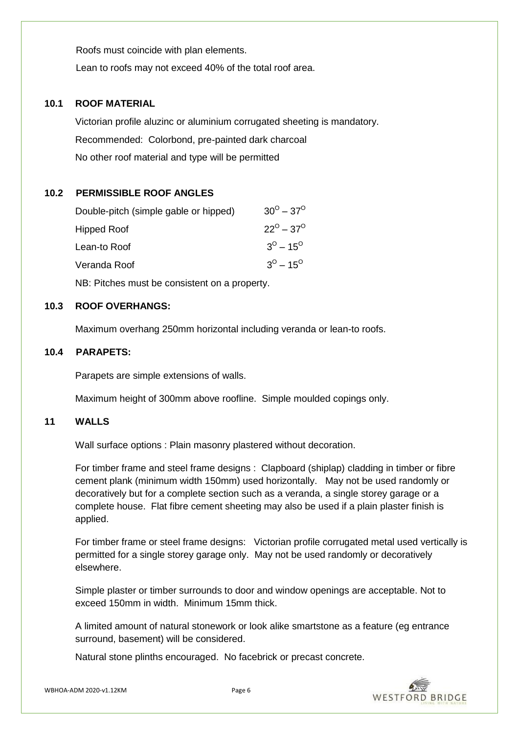Roofs must coincide with plan elements. Lean to roofs may not exceed 40% of the total roof area.

# **10.1 ROOF MATERIAL**

Victorian profile aluzinc or aluminium corrugated sheeting is mandatory. Recommended: Colorbond, pre-painted dark charcoal No other roof material and type will be permitted

# **10.2 PERMISSIBLE ROOF ANGLES**

| Double-pitch (simple gable or hipped) | $30^{\circ} - 37^{\circ}$ |
|---------------------------------------|---------------------------|
| Hipped Roof                           | $22^{\circ} - 37^{\circ}$ |
| Lean-to Roof                          | $3^0 - 15^0$              |
| Veranda Roof                          | $3^0 - 15^0$              |
|                                       |                           |

NB: Pitches must be consistent on a property.

## **10.3 ROOF OVERHANGS:**

Maximum overhang 250mm horizontal including veranda or lean-to roofs.

## **10.4 PARAPETS:**

Parapets are simple extensions of walls.

Maximum height of 300mm above roofline. Simple moulded copings only.

# **11 WALLS**

Wall surface options : Plain masonry plastered without decoration.

For timber frame and steel frame designs : Clapboard (shiplap) cladding in timber or fibre cement plank (minimum width 150mm) used horizontally. May not be used randomly or decoratively but for a complete section such as a veranda, a single storey garage or a complete house. Flat fibre cement sheeting may also be used if a plain plaster finish is applied.

For timber frame or steel frame designs: Victorian profile corrugated metal used vertically is permitted for a single storey garage only. May not be used randomly or decoratively elsewhere.

Simple plaster or timber surrounds to door and window openings are acceptable. Not to exceed 150mm in width. Minimum 15mm thick.

A limited amount of natural stonework or look alike smartstone as a feature (eg entrance surround, basement) will be considered.

Natural stone plinths encouraged. No facebrick or precast concrete.

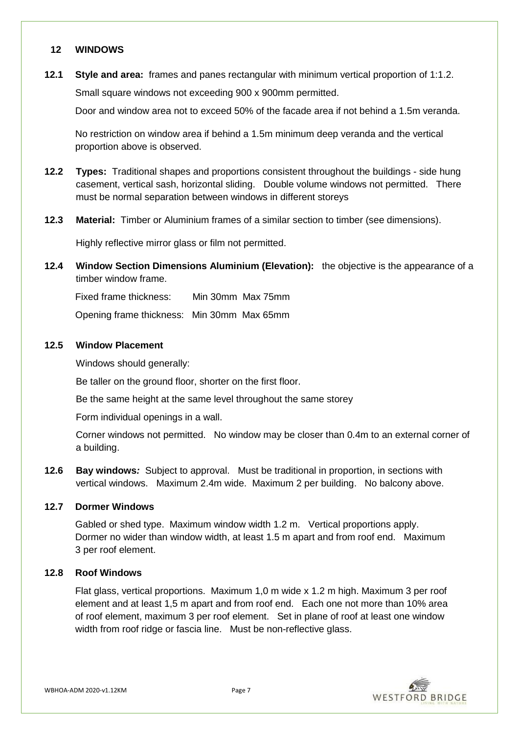#### **12 WINDOWS**

**12.1 Style and area:** frames and panes rectangular with minimum vertical proportion of 1:1.2. Small square windows not exceeding 900 x 900mm permitted.

Door and window area not to exceed 50% of the facade area if not behind a 1.5m veranda.

No restriction on window area if behind a 1.5m minimum deep veranda and the vertical proportion above is observed.

- **12.2 Types:** Traditional shapes and proportions consistent throughout the buildings side hung casement, vertical sash, horizontal sliding. Double volume windows not permitted. There must be normal separation between windows in different storeys
- **12.3 Material:** Timber or Aluminium frames of a similar section to timber (see dimensions).

Highly reflective mirror glass or film not permitted.

**12.4 Window Section Dimensions Aluminium (Elevation):** the objective is the appearance of a timber window frame.

Fixed frame thickness: Min 30mm Max 75mm

Opening frame thickness: Min 30mm Max 65mm

## **12.5 Window Placement**

Windows should generally:

Be taller on the ground floor, shorter on the first floor.

Be the same height at the same level throughout the same storey

Form individual openings in a wall.

Corner windows not permitted. No window may be closer than 0.4m to an external corner of a building.

**12.6 Bay windows***:* Subject to approval. Must be traditional in proportion, in sections with vertical windows. Maximum 2.4m wide. Maximum 2 per building. No balcony above.

#### **12.7 Dormer Windows**

Gabled or shed type. Maximum window width 1.2 m. Vertical proportions apply. Dormer no wider than window width, at least 1.5 m apart and from roof end. Maximum 3 per roof element.

#### **12.8 Roof Windows**

Flat glass, vertical proportions. Maximum 1,0 m wide x 1.2 m high. Maximum 3 per roof element and at least 1,5 m apart and from roof end. Each one not more than 10% area of roof element, maximum 3 per roof element. Set in plane of roof at least one window width from roof ridge or fascia line. Must be non-reflective glass.

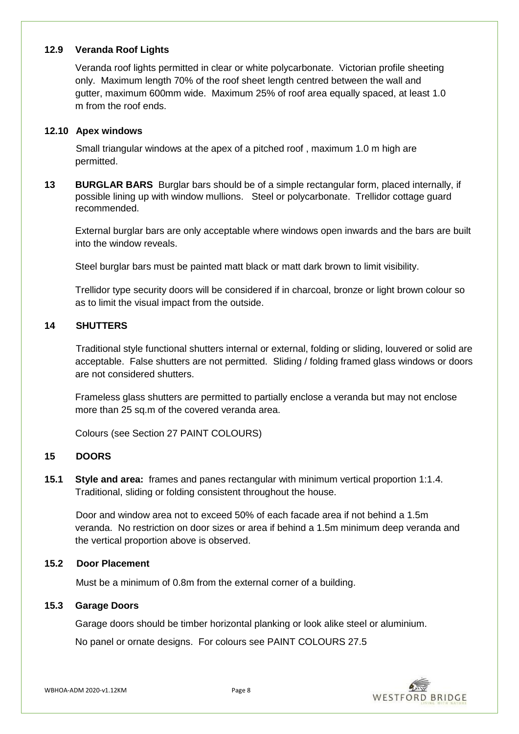## **12.9 Veranda Roof Lights**

Veranda roof lights permitted in clear or white polycarbonate. Victorian profile sheeting only. Maximum length 70% of the roof sheet length centred between the wall and gutter, maximum 600mm wide. Maximum 25% of roof area equally spaced, at least 1.0 m from the roof ends.

## **12.10 Apex windows**

Small triangular windows at the apex of a pitched roof , maximum 1.0 m high are permitted.

**13 BURGLAR BARS** Burglar bars should be of a simple rectangular form, placed internally, if possible lining up with window mullions. Steel or polycarbonate. Trellidor cottage guard recommended.

External burglar bars are only acceptable where windows open inwards and the bars are built into the window reveals.

Steel burglar bars must be painted matt black or matt dark brown to limit visibility.

Trellidor type security doors will be considered if in charcoal, bronze or light brown colour so as to limit the visual impact from the outside.

# **14 SHUTTERS**

Traditional style functional shutters internal or external, folding or sliding, louvered or solid are acceptable. False shutters are not permitted. Sliding / folding framed glass windows or doors are not considered shutters.

Frameless glass shutters are permitted to partially enclose a veranda but may not enclose more than 25 sq.m of the covered veranda area.

Colours (see Section 27 PAINT COLOURS)

# **15 DOORS**

**15.1 Style and area:** frames and panes rectangular with minimum vertical proportion 1:1.4. Traditional, sliding or folding consistent throughout the house.

Door and window area not to exceed 50% of each facade area if not behind a 1.5m veranda. No restriction on door sizes or area if behind a 1.5m minimum deep veranda and the vertical proportion above is observed.

# **15.2 Door Placement**

Must be a minimum of 0.8m from the external corner of a building.

#### **15.3 Garage Doors**

Garage doors should be timber horizontal planking or look alike steel or aluminium.

No panel or ornate designs. For colours see PAINT COLOURS 27.5

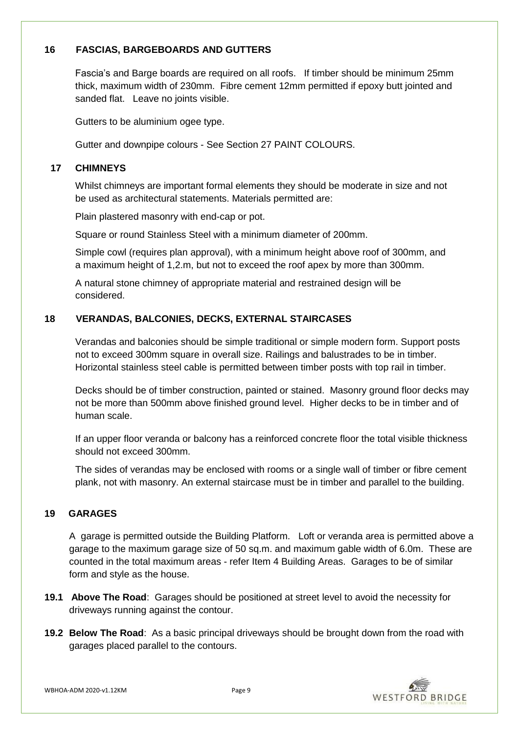# **16 FASCIAS, BARGEBOARDS AND GUTTERS**

Fascia's and Barge boards are required on all roofs. If timber should be minimum 25mm thick, maximum width of 230mm. Fibre cement 12mm permitted if epoxy butt jointed and sanded flat. Leave no joints visible.

Gutters to be aluminium ogee type.

Gutter and downpipe colours - See Section 27 PAINT COLOURS.

# **17 CHIMNEYS**

Whilst chimneys are important formal elements they should be moderate in size and not be used as architectural statements. Materials permitted are:

Plain plastered masonry with end-cap or pot.

Square or round Stainless Steel with a minimum diameter of 200mm.

Simple cowl (requires plan approval), with a minimum height above roof of 300mm, and a maximum height of 1,2.m, but not to exceed the roof apex by more than 300mm.

A natural stone chimney of appropriate material and restrained design will be considered.

# **18 VERANDAS, BALCONIES, DECKS, EXTERNAL STAIRCASES**

Verandas and balconies should be simple traditional or simple modern form. Support posts not to exceed 300mm square in overall size. Railings and balustrades to be in timber. Horizontal stainless steel cable is permitted between timber posts with top rail in timber.

Decks should be of timber construction, painted or stained. Masonry ground floor decks may not be more than 500mm above finished ground level. Higher decks to be in timber and of human scale.

If an upper floor veranda or balcony has a reinforced concrete floor the total visible thickness should not exceed 300mm.

The sides of verandas may be enclosed with rooms or a single wall of timber or fibre cement plank, not with masonry. An external staircase must be in timber and parallel to the building.

# **19 GARAGES**

A garage is permitted outside the Building Platform. Loft or veranda area is permitted above a garage to the maximum garage size of 50 sq.m. and maximum gable width of 6.0m. These are counted in the total maximum areas - refer Item 4 Building Areas. Garages to be of similar form and style as the house.

- **19.1 Above The Road**: Garages should be positioned at street level to avoid the necessity for driveways running against the contour.
- **19.2 Below The Road**: As a basic principal driveways should be brought down from the road with garages placed parallel to the contours.

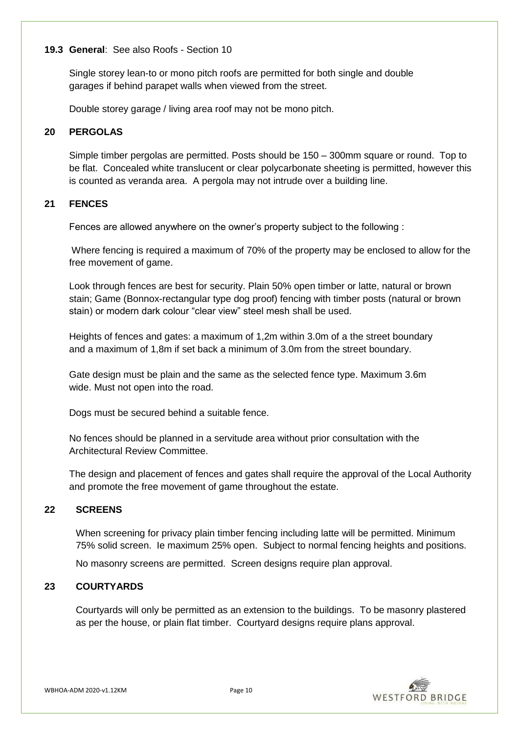## **19.3 General**: See also Roofs - Section 10

Single storey lean-to or mono pitch roofs are permitted for both single and double garages if behind parapet walls when viewed from the street.

Double storey garage / living area roof may not be mono pitch.

# **20 PERGOLAS**

Simple timber pergolas are permitted. Posts should be 150 – 300mm square or round. Top to be flat. Concealed white translucent or clear polycarbonate sheeting is permitted, however this is counted as veranda area. A pergola may not intrude over a building line.

# **21 FENCES**

Fences are allowed anywhere on the owner's property subject to the following :

Where fencing is required a maximum of 70% of the property may be enclosed to allow for the free movement of game.

Look through fences are best for security. Plain 50% open timber or latte, natural or brown stain; Game (Bonnox-rectangular type dog proof) fencing with timber posts (natural or brown stain) or modern dark colour "clear view" steel mesh shall be used.

Heights of fences and gates: a maximum of 1,2m within 3.0m of a the street boundary and a maximum of 1,8m if set back a minimum of 3.0m from the street boundary.

Gate design must be plain and the same as the selected fence type. Maximum 3.6m wide. Must not open into the road.

Dogs must be secured behind a suitable fence.

No fences should be planned in a servitude area without prior consultation with the Architectural Review Committee.

The design and placement of fences and gates shall require the approval of the Local Authority and promote the free movement of game throughout the estate.

# **22 SCREENS**

When screening for privacy plain timber fencing including latte will be permitted. Minimum 75% solid screen. Ie maximum 25% open. Subject to normal fencing heights and positions.

No masonry screens are permitted. Screen designs require plan approval.

# **23 COURTYARDS**

Courtyards will only be permitted as an extension to the buildings. To be masonry plastered as per the house, or plain flat timber. Courtyard designs require plans approval.

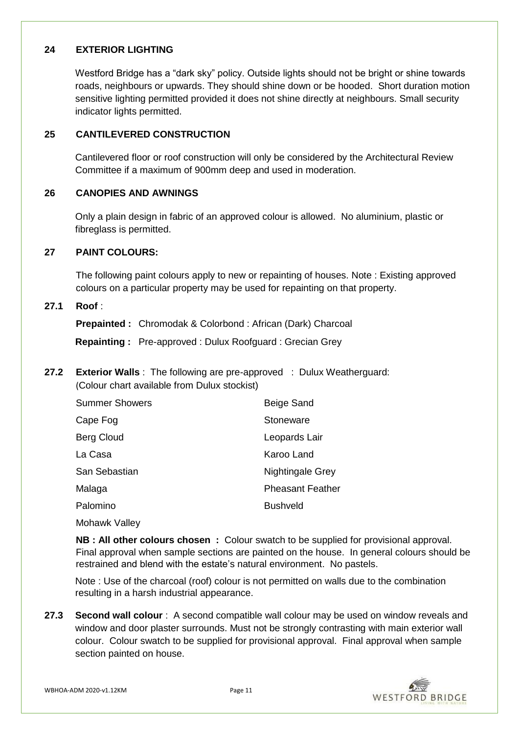## **24 EXTERIOR LIGHTING**

Westford Bridge has a "dark sky" policy. Outside lights should not be bright or shine towards roads, neighbours or upwards. They should shine down or be hooded. Short duration motion sensitive lighting permitted provided it does not shine directly at neighbours. Small security indicator lights permitted.

# **25 CANTILEVERED CONSTRUCTION**

Cantilevered floor or roof construction will only be considered by the Architectural Review Committee if a maximum of 900mm deep and used in moderation.

## **26 CANOPIES AND AWNINGS**

Only a plain design in fabric of an approved colour is allowed. No aluminium, plastic or fibreglass is permitted.

#### **27 PAINT COLOURS:**

The following paint colours apply to new or repainting of houses. Note : Existing approved colours on a particular property may be used for repainting on that property.

#### **27.1 Roof** :

**Prepainted :** Chromodak & Colorbond : African (Dark) Charcoal

**Repainting :** Pre-approved : Dulux Roofguard : Grecian Grey

**27.2 Exterior Walls** : The following are pre-approved : Dulux Weatherguard: (Colour chart available from Dulux stockist)

| <b>Summer Showers</b> | Beige Sand              |
|-----------------------|-------------------------|
| Cape Fog              | Stoneware               |
| Berg Cloud            | Leopards Lair           |
| La Casa               | Karoo Land              |
| San Sebastian         | Nightingale Grey        |
| Malaga                | <b>Pheasant Feather</b> |
| Palomino              | <b>Bushveld</b>         |
|                       |                         |

Mohawk Valley

**NB : All other colours chosen :** Colour swatch to be supplied for provisional approval. Final approval when sample sections are painted on the house. In general colours should be restrained and blend with the estate's natural environment. No pastels.

Note : Use of the charcoal (roof) colour is not permitted on walls due to the combination resulting in a harsh industrial appearance.

**27.3 Second wall colour** : A second compatible wall colour may be used on window reveals and window and door plaster surrounds. Must not be strongly contrasting with main exterior wall colour. Colour swatch to be supplied for provisional approval. Final approval when sample section painted on house.

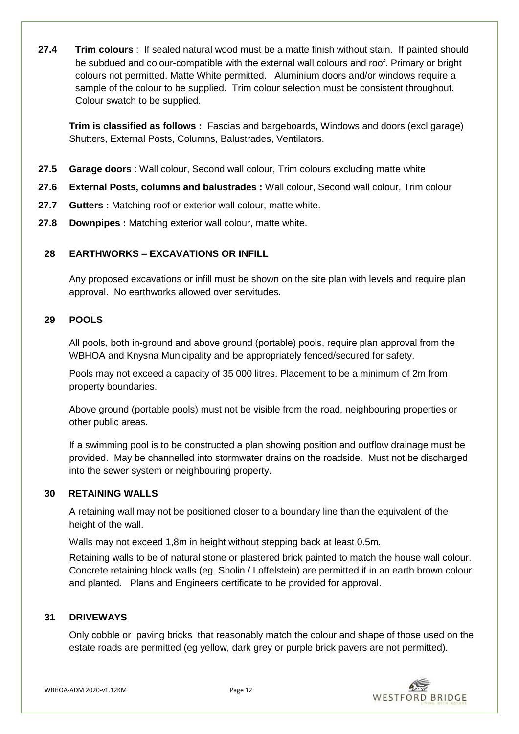**27.4 Trim colours** : If sealed natural wood must be a matte finish without stain. If painted should be subdued and colour-compatible with the external wall colours and roof. Primary or bright colours not permitted. Matte White permitted. Aluminium doors and/or windows require a sample of the colour to be supplied. Trim colour selection must be consistent throughout. Colour swatch to be supplied.

**Trim is classified as follows :** Fascias and bargeboards, Windows and doors (excl garage) Shutters, External Posts, Columns, Balustrades, Ventilators.

- **27.5 Garage doors** : Wall colour, Second wall colour, Trim colours excluding matte white
- **27.6 External Posts, columns and balustrades :** Wall colour, Second wall colour, Trim colour
- **27.7 Gutters :** Matching roof or exterior wall colour, matte white.
- **27.8 Downpipes :** Matching exterior wall colour, matte white.

# **28 EARTHWORKS – EXCAVATIONS OR INFILL**

Any proposed excavations or infill must be shown on the site plan with levels and require plan approval. No earthworks allowed over servitudes.

# **29 POOLS**

All pools, both in-ground and above ground (portable) pools, require plan approval from the WBHOA and Knysna Municipality and be appropriately fenced/secured for safety.

Pools may not exceed a capacity of 35 000 litres. Placement to be a minimum of 2m from property boundaries.

Above ground (portable pools) must not be visible from the road, neighbouring properties or other public areas.

If a swimming pool is to be constructed a plan showing position and outflow drainage must be provided. May be channelled into stormwater drains on the roadside. Must not be discharged into the sewer system or neighbouring property.

# **30 RETAINING WALLS**

A retaining wall may not be positioned closer to a boundary line than the equivalent of the height of the wall.

Walls may not exceed 1,8m in height without stepping back at least 0.5m.

Retaining walls to be of natural stone or plastered brick painted to match the house wall colour. Concrete retaining block walls (eg. Sholin / Loffelstein) are permitted if in an earth brown colour and planted. Plans and Engineers certificate to be provided for approval.

## **31 DRIVEWAYS**

Only cobble or paving bricks that reasonably match the colour and shape of those used on the estate roads are permitted (eg yellow, dark grey or purple brick pavers are not permitted).

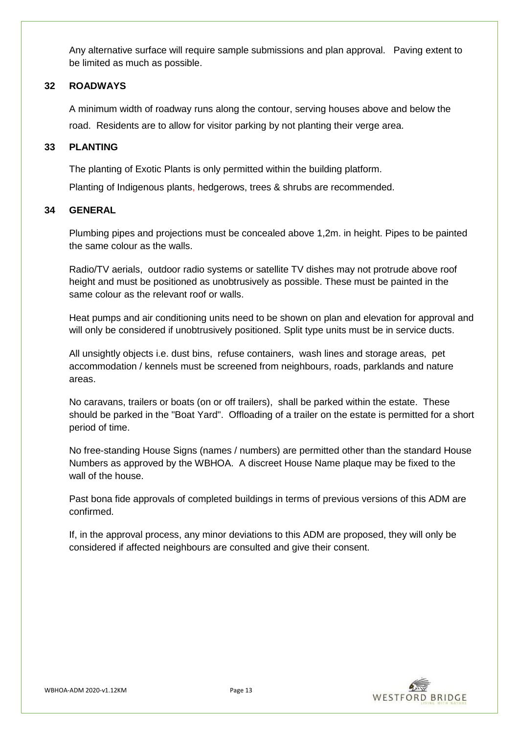Any alternative surface will require sample submissions and plan approval. Paving extent to be limited as much as possible.

## **32 ROADWAYS**

A minimum width of roadway runs along the contour, serving houses above and below the road. Residents are to allow for visitor parking by not planting their verge area.

## **33 PLANTING**

The planting of Exotic Plants is only permitted within the building platform.

Planting of Indigenous plants, hedgerows, trees & shrubs are recommended.

## **34 GENERAL**

Plumbing pipes and projections must be concealed above 1,2m. in height. Pipes to be painted the same colour as the walls.

Radio/TV aerials, outdoor radio systems or satellite TV dishes may not protrude above roof height and must be positioned as unobtrusively as possible. These must be painted in the same colour as the relevant roof or walls.

Heat pumps and air conditioning units need to be shown on plan and elevation for approval and will only be considered if unobtrusively positioned. Split type units must be in service ducts.

All unsightly objects i.e. dust bins, refuse containers, wash lines and storage areas, pet accommodation / kennels must be screened from neighbours, roads, parklands and nature areas.

No caravans, trailers or boats (on or off trailers), shall be parked within the estate. These should be parked in the "Boat Yard". Offloading of a trailer on the estate is permitted for a short period of time.

No free-standing House Signs (names / numbers) are permitted other than the standard House Numbers as approved by the WBHOA. A discreet House Name plaque may be fixed to the wall of the house.

Past bona fide approvals of completed buildings in terms of previous versions of this ADM are confirmed.

If, in the approval process, any minor deviations to this ADM are proposed, they will only be considered if affected neighbours are consulted and give their consent.